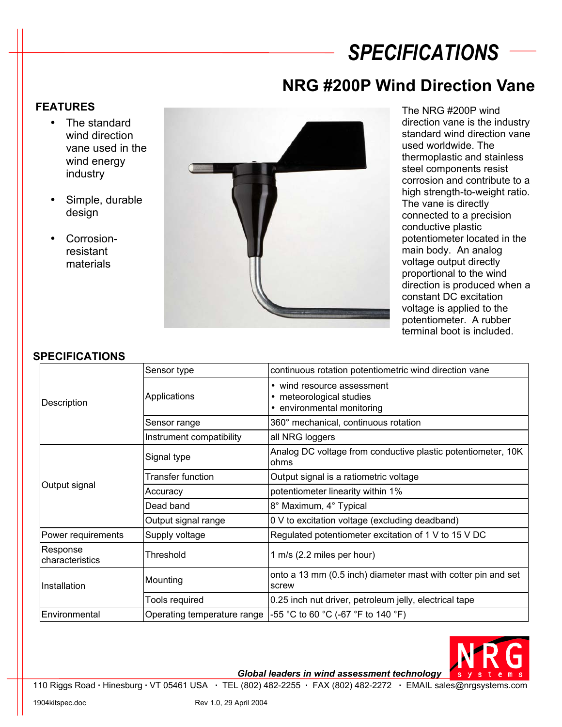# *SPECIFICATIONS*

### **NRG #200P Wind Direction Vane**

#### **FEATURES**

- The standard wind direction vane used in the wind energy industry
- Simple, durable design
- Corrosionresistant materials



The NRG #200P wind direction vane is the industry standard wind direction vane used worldwide. The thermoplastic and stainless steel components resist corrosion and contribute to a high strength-to-weight ratio. The vane is directly connected to a precision conductive plastic potentiometer located in the main body. An analog voltage output directly proportional to the wind direction is produced when a constant DC excitation voltage is applied to the potentiometer. A rubber terminal boot is included.

#### **SPECIFICATIONS**

| טו בטוו וטה ווטם            |                             |                                                                                      |
|-----------------------------|-----------------------------|--------------------------------------------------------------------------------------|
| Description                 | Sensor type                 | continuous rotation potentiometric wind direction vane                               |
|                             | Applications                | • wind resource assessment<br>• meteorological studies<br>• environmental monitoring |
|                             | Sensor range                | 360° mechanical, continuous rotation                                                 |
|                             | Instrument compatibility    | all NRG loggers                                                                      |
| Output signal               | Signal type                 | Analog DC voltage from conductive plastic potentiometer, 10K<br>ohms                 |
|                             | Transfer function           | Output signal is a ratiometric voltage                                               |
|                             | Accuracy                    | potentiometer linearity within 1%                                                    |
|                             | Dead band                   | 8° Maximum, 4° Typical                                                               |
|                             | Output signal range         | 0 V to excitation voltage (excluding deadband)                                       |
| Power requirements          | Supply voltage              | Regulated potentiometer excitation of 1 V to 15 V DC                                 |
| Response<br>characteristics | Threshold                   | 1 m/s (2.2 miles per hour)                                                           |
| Installation                | Mounting                    | onto a 13 mm (0.5 inch) diameter mast with cotter pin and set<br>screw               |
|                             | Tools required              | 0.25 inch nut driver, petroleum jelly, electrical tape                               |
| Environmental               | Operating temperature range | -55 °C to 60 °C (-67 °F to 140 °F)                                                   |
|                             |                             |                                                                                      |



*Global leaders in wind assessment technology* 

110 Riggs Road **·** Hinesburg **·** VT 05461 USA **·** TEL (802) 482-2255 **·** FAX (802) 482-2272 **·** EMAIL sales@nrgsystems.com